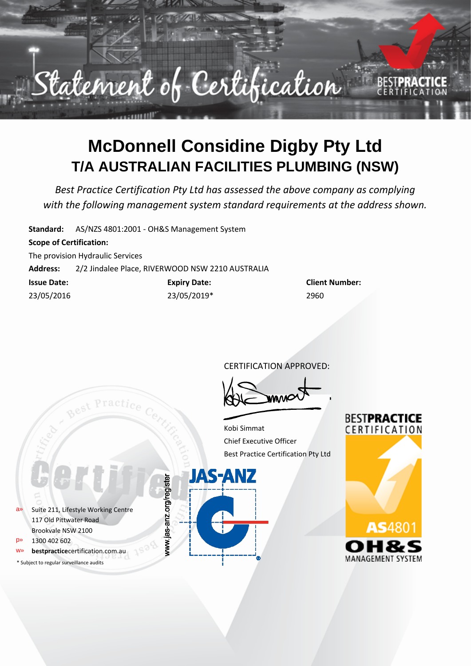

## **McDonnell Considine Digby Pty Ltd T/A AUSTRALIAN FACILITIES PLUMBING (NSW)**

*Best Practice Certification Pty Ltd has assessed the above company as complying with the following management system standard requirements at the address shown.*

**Standard:** AS/NZS 4801:2001 - OH&S Management System

### **Scope of Certification:**

The provision Hydraulic Services

**Address:** 2/2 Jindalee Place, RIVERWOOD NSW 2210 AUSTRALIA

| <b>Issue Date:</b> | <b>Expiry Date:</b> | Clien |
|--------------------|---------------------|-------|
| 23/05/2016         | 23/05/2019*         | 2960  |

**Client Number:** 

CERTIFICATION APPROVED:

Kobi Simmat Chief Executive Officer Best Practice Certification Pty Ltd

**JAS-ANZ** 

www.jas-anz.org/register



**BESTPRACTICE** CERTIFICATION

a» Suite 211, Lifestyle Working Centre 117 Old Pittwater Road Brookvale NSW 2100 p» 1300 402 602

- **bestpractice**certification.com.au
- \* Subject to regular surveillance audits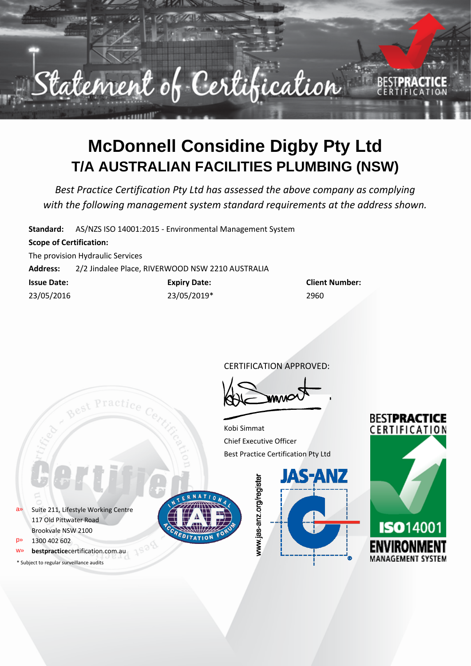

# **McDonnell Considine Digby Pty Ltd T/A AUSTRALIAN FACILITIES PLUMBING (NSW)**

*Best Practice Certification Pty Ltd has assessed the above company as complying with the following management system standard requirements at the address shown.*

**Standard:** AS/NZS ISO 14001:2015 - Environmental Management System

### **Scope of Certification:**

The provision Hydraulic Services

**Address:** 2/2 Jindalee Place, RIVERWOOD NSW 2210 AUSTRALIA

| <b>Issue Date:</b> | <b>Expiry Date:</b> | Clien |
|--------------------|---------------------|-------|
| 23/05/2016         | 23/05/2019*         | 2960  |

**Issue Date: Expiry Date: Client Number:**

CERTIFICATION APPROVED:

Kobi Simmat Chief Executive Officer Best Practice Certification Pty Ltd

a» Suite 211, Lifestyle Working Centre 117 Old Pittwater Road Brookvale NSW 2100

- p» 1300 402 602
- **bestpractice**certification.com.au
- \* Subject to regular surveillance audits